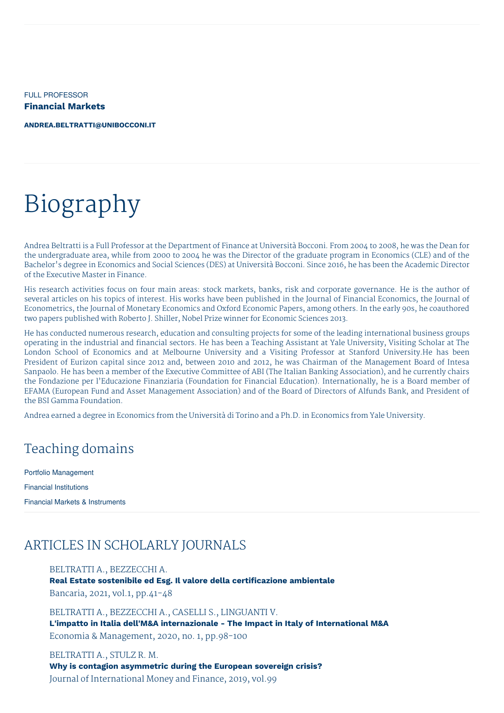FULL PROFESSOR **Financial Markets**

**[ANDREA.BELTRATTI@UNIBOCCONI.IT](mailto:andrea.beltratti@unibocconi.it)**

# Biography

Andrea Beltratti is a Full Professor at the Department of Finance at Università Bocconi. From 2004 to 2008, he was the Dean for the undergraduate area, while from 2000 to 2004 he was the Director of the graduate program in Economics (CLE) and of the Bachelor's degree in Economics and Social Sciences (DES) at Università Bocconi. Since 2016, he has been the Academic Director of the Executive Master in Finance.

His research activities focus on four main areas: stock markets, banks, risk and corporate governance. He is the author of several articles on his topics of interest. His works have been published in the Journal of Financial Economics, the Journal of Econometrics, the Journal of Monetary Economics and Oxford Economic Papers, among others. In the early 90s, he coauthored two papers published with Roberto J. Shiller, Nobel Prize winner for Economic Sciences 2013.

He has conducted numerous research, education and consulting projects for some of the leading international business groups operating in the industrial and financial sectors. He has been a Teaching Assistant at Yale University, Visiting Scholar at The London School of Economics and at Melbourne University and a Visiting Professor at Stanford University.He has been President of Eurizon capital since 2012 and, between 2010 and 2012, he was Chairman of the Management Board of Intesa Sanpaolo. He has been a member of the Executive Committee of ABI (The Italian Banking Association), and he currently chairs the Fondazione per l'Educazione Finanziaria (Foundation for Financial Education). Internationally, he is a Board member of EFAMA (European Fund and Asset Management Association) and of the Board of Directors of Alfunds Bank, and President of the BSI Gamma Foundation.

Andrea earned a degree in Economics from the Università di Torino and a Ph.D. in Economics from Yale University.

### Teaching domains

Portfolio Management Financial Institutions Financial Markets & Instruments

### ARTICLES IN SCHOLARLY JOURNALS

#### BELTRATTI A., BEZZECCHI A.

**Real Estate sostenibile ed Esg. Il valore della certificazione ambientale** Bancaria, 2021, vol.1, pp.41-48

BELTRATTI A., BEZZECCHI A., CASELLI S., LINGUANTI V. **L'impatto in Italia dell'M&A internazionale - The Impact in Italy of International M&A** Economia & Management, 2020, no. 1, pp.98-100

BELTRATTI A., STULZ R. M. **Why is contagion asymmetric during the European sovereign crisis?** Journal of International Money and Finance, 2019, vol.99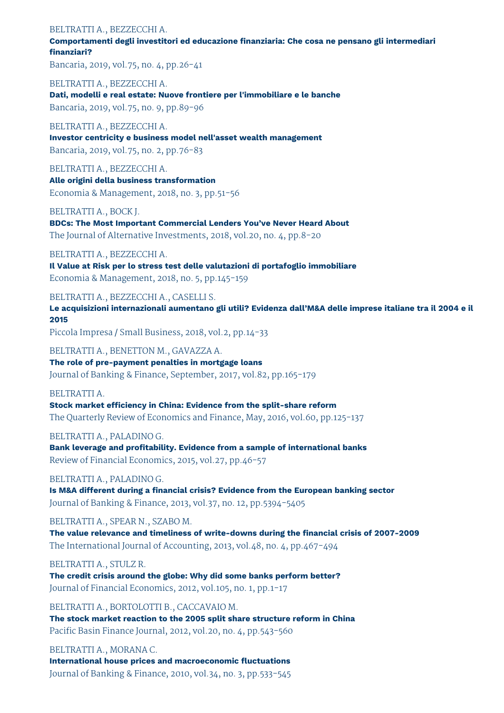#### BELTRATTI A., BEZZECCHI A.

**Comportamenti degli investitori ed educazione finanziaria: Che cosa ne pensano gli intermediari finanziari?**

Bancaria, 2019, vol.75, no. 4, pp.26-41

BELTRATTI A., BEZZECCHI A. **Dati, modelli e real estate: Nuove frontiere per l'immobiliare e le banche** Bancaria, 2019, vol.75, no. 9, pp.89-96

BELTRATTI A., BEZZECCHI A. **Investor centricity e business model nell'asset wealth management** Bancaria, 2019, vol.75, no. 2, pp.76-83

BELTRATTI A., BEZZECCHI A. **Alle origini della business transformation** Economia & Management, 2018, no. 3, pp.51-56

BELTRATTI A., BOCK J.

**BDCs: The Most Important Commercial Lenders You've Never Heard About** The Journal of Alternative Investments, 2018, vol.20, no. 4, pp.8-20

BELTRATTI A., BEZZECCHI A.

**Il Value at Risk per lo stress test delle valutazioni di portafoglio immobiliare** Economia & Management, 2018, no. 5, pp.145-159

BELTRATTI A., BEZZECCHI A., CASELLI S.

**Le acquisizioni internazionali aumentano gli utili? Evidenza dall'M&A delle imprese italiane tra il 2004 e il 2015**

Piccola Impresa / Small Business, 2018, vol.2, pp.14-33

BELTRATTI A., BENETTON M., GAVAZZA A.

**The role of pre-payment penalties in mortgage loans** Journal of Banking & Finance, September, 2017, vol.82, pp.165-179

BELTRATTI A.

**Stock market efficiency in China: Evidence from the split-share reform** The Quarterly Review of Economics and Finance, May, 2016, vol.60, pp.125-137

BELTRATTI A., PALADINO G.

**Bank leverage and profitability. Evidence from a sample of international banks** Review of Financial Economics, 2015, vol.27, pp.46-57

BELTRATTI A., PALADINO G.

**Is M&A different during a financial crisis? Evidence from the European banking sector** Journal of Banking & Finance, 2013, vol.37, no. 12, pp.5394-5405

BELTRATTI A., SPEAR N., SZABO M.

**The value relevance and timeliness of write-downs during the financial crisis of 2007-2009** The International Journal of Accounting, 2013, vol.48, no. 4, pp.467-494

BELTRATTI A., STULZ R. **The credit crisis around the globe: Why did some banks perform better?** Journal of Financial Economics, 2012, vol.105, no. 1, pp.1-17

BELTRATTI A., BORTOLOTTI B., CACCAVAIO M. **The stock market reaction to the 2005 split share structure reform in China** Pacific Basin Finance Journal, 2012, vol.20, no. 4, pp.543-560

BELTRATTI A., MORANA C. **International house prices and macroeconomic fluctuations** Journal of Banking & Finance, 2010, vol.34, no. 3, pp.533-545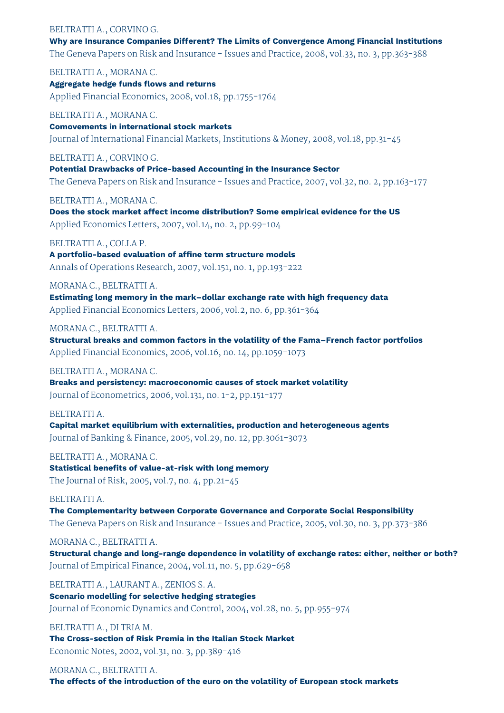#### BELTRATTI A., CORVINO G.

**Why are Insurance Companies Different? The Limits of Convergence Among Financial Institutions** The Geneva Papers on Risk and Insurance - Issues and Practice, 2008, vol.33, no. 3, pp.363-388

BELTRATTI A., MORANA C. **Aggregate hedge funds flows and returns** Applied Financial Economics, 2008, vol.18, pp.1755-1764

BELTRATTI A., MORANA C. **Comovements in international stock markets** Journal of International Financial Markets, Institutions & Money, 2008, vol.18, pp.31-45

#### BELTRATTI A., CORVINO G.

**Potential Drawbacks of Price-based Accounting in the Insurance Sector** The Geneva Papers on Risk and Insurance - Issues and Practice, 2007, vol.32, no. 2, pp.163-177

BELTRATTI A., MORANA C.

**Does the stock market affect income distribution? Some empirical evidence for the US** Applied Economics Letters, 2007, vol.14, no. 2, pp.99-104

#### BELTRATTI A., COLLA P.

**A portfolio-based evaluation of affine term structure models** Annals of Operations Research, 2007, vol.151, no. 1, pp.193-222

MORANA C., BELTRATTI A.

**Estimating long memory in the mark–dollar exchange rate with high frequency data** Applied Financial Economics Letters, 2006, vol.2, no. 6, pp.361-364

#### MORANA C., BELTRATTI A.

**Structural breaks and common factors in the volatility of the Fama–French factor portfolios** Applied Financial Economics, 2006, vol.16, no. 14, pp.1059-1073

#### BELTRATTI A., MORANA C.

**Breaks and persistency: macroeconomic causes of stock market volatility** Journal of Econometrics, 2006, vol.131, no. 1-2, pp.151-177

#### BELTRATTI A.

**Capital market equilibrium with externalities, production and heterogeneous agents** Journal of Banking & Finance, 2005, vol.29, no. 12, pp.3061-3073

#### BELTRATTI A., MORANA C.

**Statistical benefits of value-at-risk with long memory** The Journal of Risk, 2005, vol.7, no. 4, pp.21-45

#### BELTRATTI A.

**The Complementarity between Corporate Governance and Corporate Social Responsibility** The Geneva Papers on Risk and Insurance - Issues and Practice, 2005, vol.30, no. 3, pp.373-386

MORANA C., BELTRATTI A.

**Structural change and long-range dependence in volatility of exchange rates: either, neither or both?** Journal of Empirical Finance, 2004, vol.11, no. 5, pp.629-658

BELTRATTI A., LAURANT A., ZENIOS S. A. **Scenario modelling for selective hedging strategies** Journal of Economic Dynamics and Control, 2004, vol.28, no. 5, pp.955-974

#### BELTRATTI A., DI TRIA M.

**The Cross-section of Risk Premia in the Italian Stock Market** Economic Notes, 2002, vol.31, no. 3, pp.389-416

MORANA C., BELTRATTI A. **The effects of the introduction of the euro on the volatility of European stock markets**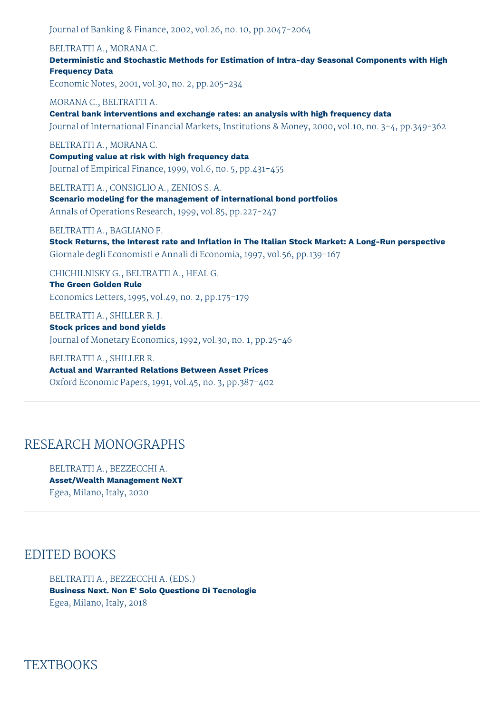Journal of Banking & Finance, 2002, vol.26, no. 10, pp.2047-2064

#### BELTRATTI A., MORANA C.

**Deterministic and Stochastic Methods for Estimation of Intra-day Seasonal Components with High Frequency Data**

Economic Notes, 2001, vol.30, no. 2, pp.205-234

MORANA C., BELTRATTI A. **Central bank interventions and exchange rates: an analysis with high frequency data** Journal of International Financial Markets, Institutions & Money, 2000, vol.10, no. 3-4, pp.349-362

#### BELTRATTI A., MORANA C.

**Computing value at risk with high frequency data** Journal of Empirical Finance, 1999, vol.6, no. 5, pp.431-455

BELTRATTI A., CONSIGLIO A., ZENIOS S. A.

**Scenario modeling for the management of international bond portfolios** Annals of Operations Research, 1999, vol.85, pp.227-247

#### BELTRATTI A., BAGLIANO F.

**Stock Returns, the Interest rate and Inflation in The Italian Stock Market: A Long-Run perspective** Giornale degli Economisti e Annali di Economia, 1997, vol.56, pp.139-167

CHICHILNISKY G., BELTRATTI A., HEAL G.

**The Green Golden Rule** Economics Letters, 1995, vol.49, no. 2, pp.175-179

BELTRATTI A., SHILLER R. J. **Stock prices and bond yields** Journal of Monetary Economics, 1992, vol.30, no. 1, pp.25-46

BELTRATTI A., SHILLER R. **Actual and Warranted Relations Between Asset Prices** Oxford Economic Papers, 1991, vol.45, no. 3, pp.387-402

### RESEARCH MONOGRAPHS

BELTRATTI A., BEZZECCHI A. **Asset/Wealth Management NeXT** Egea, Milano, Italy, 2020

### EDITED BOOKS

### BELTRATTI A., BEZZECCHI A. (EDS.)

**Business Next. Non E' Solo Questione Di Tecnologie** Egea, Milano, Italy, 2018

**TEXTBOOKS**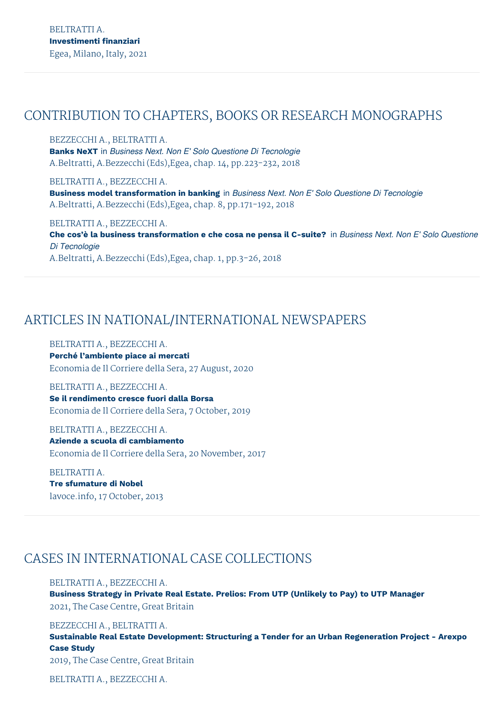### CONTRIBUTION TO CHAPTERS, BOOKS OR RESEARCH MONOGRAPHS

BEZZECCHI A., BELTRATTI A. **Banks NeXT** in *Business Next. Non E' Solo Questione Di Tecnologie* A.Beltratti, A.Bezzecchi (Eds),Egea, chap. 14, pp.223-232, 2018

BELTRATTI A., BEZZECCHI A. **Business model transformation in banking** in *Business Next. Non E' Solo Questione Di Tecnologie* A.Beltratti, A.Bezzecchi (Eds),Egea, chap. 8, pp.171-192, 2018

BELTRATTI A., BEZZECCHI A. Che cos'è la business transformation e che cosa ne pensa il C-suite? in Business Next. Non E' Solo Questione *Di Tecnologie* A.Beltratti, A.Bezzecchi (Eds),Egea, chap. 1, pp.3-26, 2018

## ARTICLES IN NATIONAL/INTERNATIONAL NEWSPAPERS

BELTRATTI A., BEZZECCHI A.

**Perché l'ambiente piace ai mercati** Economia de Il Corriere della Sera, 27 August, 2020

BELTRATTI A., BEZZECCHI A. **Se il rendimento cresce fuori dalla Borsa** Economia de Il Corriere della Sera, 7 October, 2019

BELTRATTI A., BEZZECCHI A. **Aziende a scuola di cambiamento** Economia de Il Corriere della Sera, 20 November, 2017

BELTRATTI A. **Tre sfumature di Nobel** lavoce.info, 17 October, 2013

# CASES IN INTERNATIONAL CASE COLLECTIONS

BELTRATTI A., BEZZECCHI A. **Business Strategy in Private Real Estate. Prelios: From UTP (Unlikely to Pay) to UTP Manager** 2021, The Case Centre, Great Britain

BEZZECCHI A., BELTRATTI A. **Sustainable Real Estate Development: Structuring a Tender for an Urban Regeneration Project - Arexpo Case Study** 2019, The Case Centre, Great Britain

BELTRATTI A., BEZZECCHI A.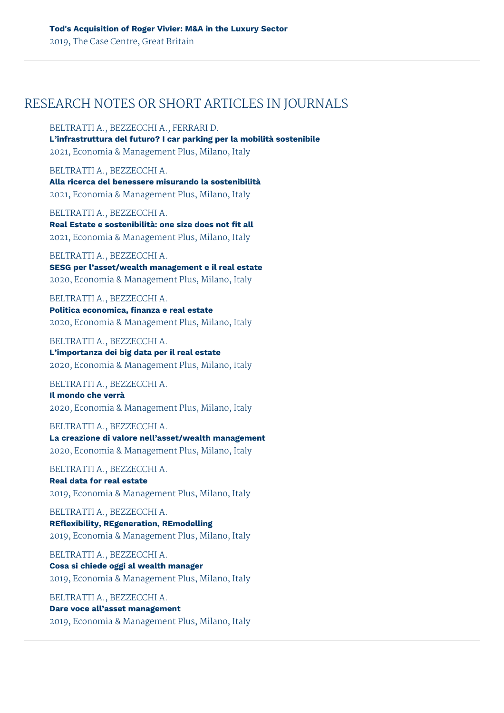### RESEARCH NOTES OR SHORT ARTICLES IN JOURNALS

BELTRATTI A., BEZZECCHI A., FERRARI D.

**L'infrastruttura del futuro? I car parking per la mobilità sostenibile** 2021, Economia & Management Plus, Milano, Italy

BELTRATTI A., BEZZECCHI A. **Alla ricerca del benessere misurando la sostenibilità** 2021, Economia & Management Plus, Milano, Italy

BELTRATTI A., BEZZECCHI A. **Real Estate e sostenibilità: one size does not fit all** 2021, Economia & Management Plus, Milano, Italy

BELTRATTI A., BEZZECCHI A. **SESG per l'asset/wealth management e il real estate** 2020, Economia & Management Plus, Milano, Italy

BELTRATTI A., BEZZECCHI A. **Politica economica, finanza e real estate** 2020, Economia & Management Plus, Milano, Italy

BELTRATTI A., BEZZECCHI A. **L'importanza dei big data per il real estate** 2020, Economia & Management Plus, Milano, Italy

BELTRATTI A., BEZZECCHI A. **Il mondo che verrà**

2020, Economia & Management Plus, Milano, Italy

BELTRATTI A., BEZZECCHI A. **La creazione di valore nell'asset/wealth management** 2020, Economia & Management Plus, Milano, Italy

BELTRATTI A., BEZZECCHI A. **Real data for real estate** 2019, Economia & Management Plus, Milano, Italy

BELTRATTI A., BEZZECCHI A. **REflexibility, REgeneration, REmodelling** 2019, Economia & Management Plus, Milano, Italy

BELTRATTI A., BEZZECCHI A. **Cosa si chiede oggi al wealth manager** 2019, Economia & Management Plus, Milano, Italy

BELTRATTI A., BEZZECCHI A. **Dare voce all'asset management** 2019, Economia & Management Plus, Milano, Italy